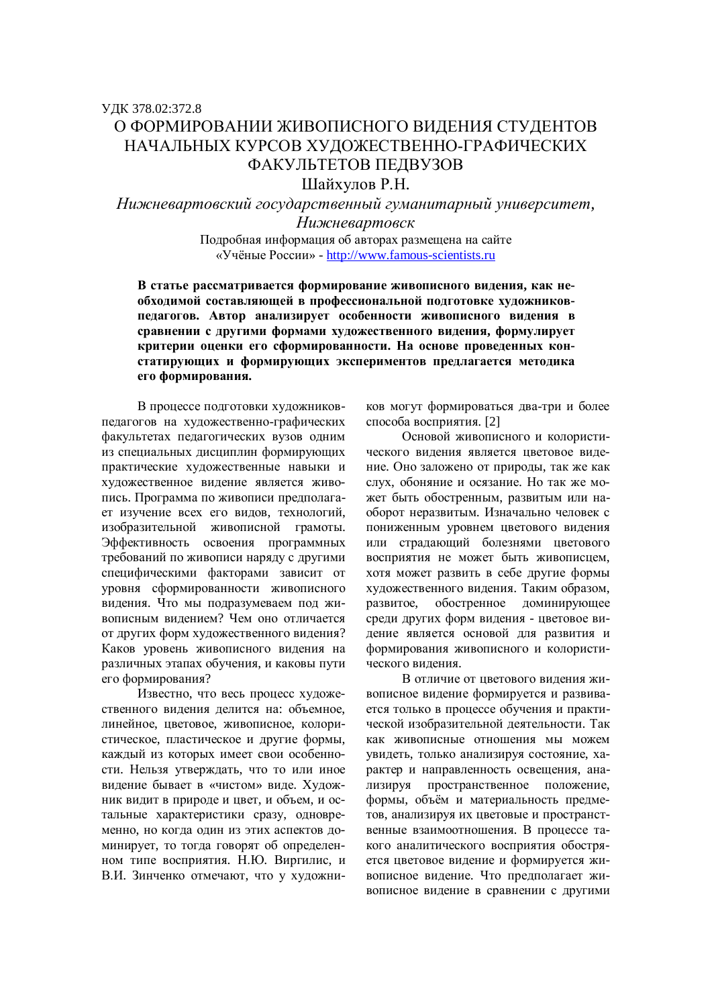## ɍȾɄ 378.02:372.8 О ФОРМИРОВАНИИ ЖИВОПИСНОГО ВИДЕНИЯ СТУДЕНТОВ НАЧАЛЬНЫХ КУРСОВ ХУДОЖЕСТВЕННО-ГРАФИЧЕСКИХ ФАКУЛЬТЕТОВ ПЕДВУЗОВ

Шайхулов Р.Н.

Нижневартовский государственный гуманитарный университет,

*ɇɢɠɧɟɜɚɪɬɨɜɫɤ* Подробная информация об авторах размещена на сайте «Учёные России» - http://www.famous-scientists.ru

В статье рассматривается формирование живописного виления, как не**обходимой составляющей в профессиональной подготовке художников**педагогов. Автор анализирует особенности живописного видения в сравнении с другими формами художественного видения, формулирует критерии оценки его сформированности. На основе проведенных констатирующих и формирующих экспериментов предлагается методика его формирования.

В процессе подготовки художниковпедагогов на художественно-графических факультетах педагогических вузов одним из специальных дисциплин формирующих практические художественные навыки и художественное видение является живопись. Программа по живописи предполагает изучение всех его видов, технологий, изобразительной живописной грамоты. Эффективность освоения программных требований по живописи наряду с другими специфическими факторами зависит от vровня сформированности живописного видения. Что мы подразумеваем под живописным видением? Чем оно отличается от других форм художественного видения? Каков уровень живописного видения на различных этапах обучения, и каковы пути его формирования?

Известно, что весь процесс художественного видения делится на: объемное, линейное, цветовое, живописное, колористическое, пластическое и другие формы, каждый из которых имеет свои особенности. Нельзя утверждать, что то или иное видение бывает в «чистом» виде. Художник видит в природе и цвет, и объем, и остальные характеристики сразу, одновременно, но когда один из этих аспектов доминирует, то тогда говорят об определенном типе восприятия. Н.Ю. Виргилис, и В.И. Зинченко отмечают, что у художников могут формироваться два-три и более способа восприятия. [2]

Основой живописного и колористического видения является цветовое видение. Оно заложено от природы, так же как слух, обоняние и осязание. Но так же может быть обостренным, развитым или наоборот неразвитым. Изначально человек с пониженным уровнем цветового видения или страдающий болезнями цветового восприятия не может быть живописцем. хотя может развить в себе другие формы художественного видения. Таким образом. развитое, обостренное доминирующее среди других форм видения - цветовое видение является основой для развития и формирования живописного и колористического виления.

В отличие от цветового видения живописное видение формируется и развивается только в процессе обучения и практической изобразительной деятельности. Так как живописные отношения мы можем увидеть, только анализируя состояние, характер и направленность освещения, анализируя пространственное положение, формы, объём и материальность предметов, анализируя их цветовые и пространственные взаимоотношения. В процессе такого аналитического восприятия обостряется цветовое видение и формируется живописное видение. Что предполагает живописное видение в сравнении с другими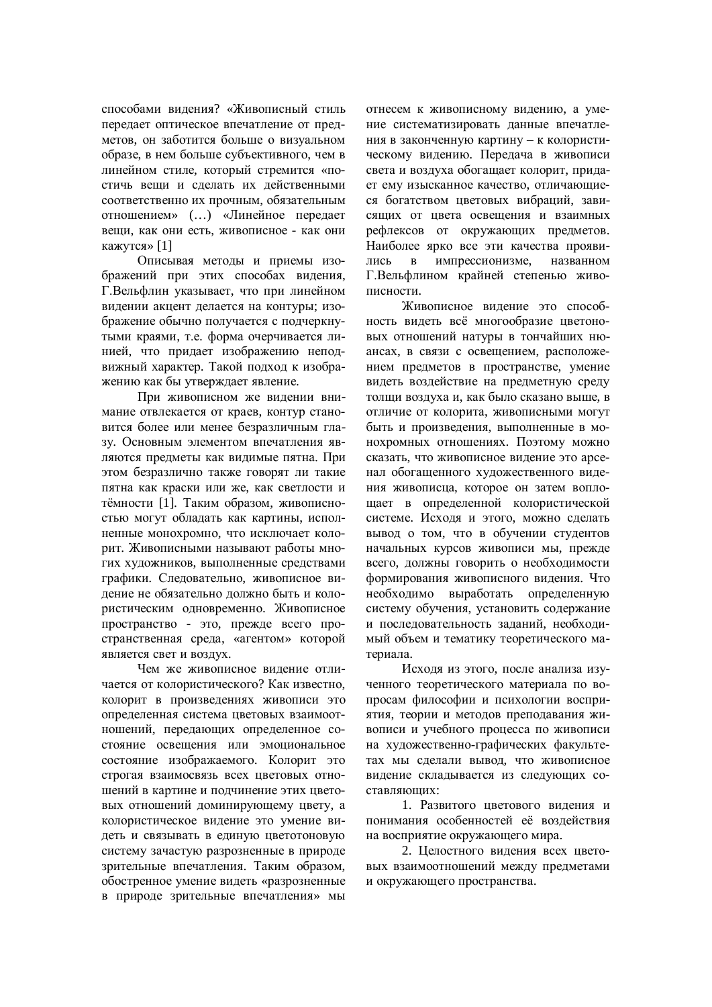способами видения? «Живописный стиль передает оптическое впечатление от предметов, он заботится больше о визуальном образе, в нем больше субъективного, чем в линейном стиле, который стремится «постичь веши и слелать их лейственными соответственно их прочным, обязательным отношением» (...) «Линейное передает вещи, как они есть, живописное - как они кажутся» [1]

Описывая методы и приемы изображений при этих способах видения, Г.Вельфлин указывает, что при линейном видении акцент делается на контуры; изображение обычно получается с подчеркнутыми краями, т.е. форма очерчивается линией, что придает изображению неподвижный характер. Такой подход к изображению как бы утверждает явление.

При живописном же видении внимание отвлекается от краев, контур становится более или менее безразличным глазу. Основным элементом впечатления являются предметы как видимые пятна. При этом безразлично также говорят ли такие пятна как краски или же, как светлости и тёмности [1]. Таким образом, живописностью могут обладать как картины, исполненные монохромно, что исключает колорит. Живописными называют работы многих художников, выполненные средствами графики. Следовательно, живописное видение не обязательно должно быть и колористическим одновременно. Живописное пространство - это, прежде всего пространственная среда, «агентом» которой является свет и воздух.

Чем же живописное видение отличается от колористического? Как известно, колорит в произведениях живописи это определенная система цветовых взаимоотношений, передающих определенное состояние освещения или эмоциональное состояние изображаемого. Колорит это строгая взаимосвязь всех цветовых отношений в картине и подчинение этих цветовых отношений доминирующему цвету, а колористическое видение это умение видеть и связывать в елиную цветотоновую систему зачастую разрозненные в природе зрительные впечатления. Таким образом, обостренное умение видеть «разрозненные в природе зрительные впечатления» мы

отнесем к живописному видению, а умение систематизировать данные впечатления в законченную картину – к колористическому видению. Передача в живописи света и воздуха обогащает колорит, придает ему изысканное качество, отличающиеся богатством цветовых вибраций, зависящих от цвета освещения и взаимных рефлексов от окружающих предметов. Наиболее ярко все эти качества проявились в импрессионизме, названном Г.Вельфлином крайней степенью живописности.

Живописное видение это способность видеть всё многообразие цветоновых отношений натуры в тончайших нюансах, в связи с освещением, расположением предметов в пространстве, умение видеть воздействие на предметную среду толщи воздуха и, как было сказано выше, в отличие от колорита, живописными могут быть и произведения, выполненные в монохромных отношениях. Поэтому можно сказать, что живописное видение это арсенал обогащенного художественного видения живописца, которое он затем воплощает в определенной колористической системе. Исходя и этого, можно сделать вывод о том, что в обучении студентов начальных курсов живописи мы, прежде всего, должны говорить о необходимости формирования живописного видения. Что необходимо выработать определенную систему обучения, установить содержание и последовательность заданий, необходимый объем и тематику теоретического материала.

Исходя из этого, после анализа изученного теоретического материала по вопросам философии и психологии восприятия, теории и метолов преполавания живописи и учебного процесса по живописи на художественно-графических факультетах мы сделали вывод, что живописное видение складывается из следующих составляющих:

1. Развитого цветового видения и понимания особенностей её воздействия на восприятие окружающего мира.

2. Шелостного виления всех цветовых взаимоотношений между предметами и окружающего пространства.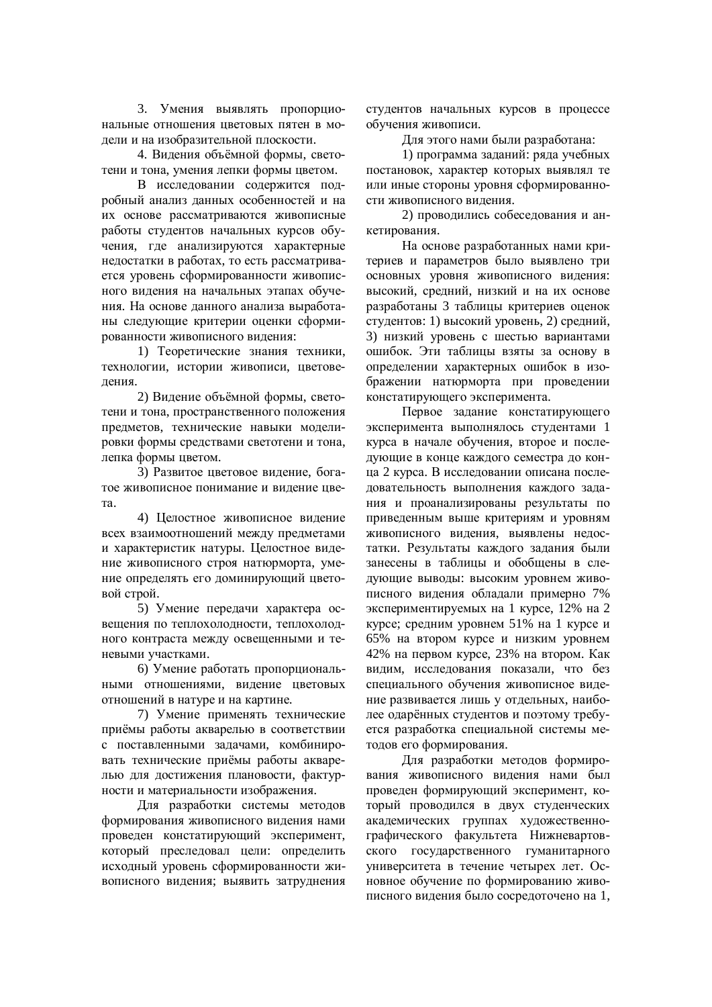3. Умения выявлять пропорциональные отношения цветовых пятен в модели и на изобразительной плоскости.

4. Видения объёмной формы, светотени и тона, умения лепки формы цветом.

В исследовании содержится подробный анализ данных особенностей и на их основе рассматриваются живописные работы студентов начальных курсов обучения, где анализируются характерные недостатки в работах, то есть рассматривается уровень сформированности живописного видения на начальных этапах обучения. На основе данного анализа выработаны следующие критерии оценки сформированности живописного видения:

1) Теоретические знания техники, технологии, истории живописи, цветоведения.

2) Видение объёмной формы, светотени и тона, пространственного положения предметов, технические навыки моделировки формы средствами светотени и тона. лепка формы цветом.

3) Развитое цветовое видение, богатое живописное понимание и виление ивета.

4) Целостное живописное видение всех взаимоотношений между предметами и характеристик натуры. Целостное видение живописного строя натюрморта, умение определять его доминирующий цветовой строй.

5) Умение передачи характера освещения по теплохолодности, теплохолодного контраста между освещенными и теневыми участками.

6) Умение работать пропорциональными отношениями, видение цветовых отношений в натуре и на картине.

7) Умение применять технические приёмы работы акварелью в соответствии с поставленными задачами, комбинировать технические приёмы работы акварелью для достижения плановости, фактурности и материальности изображения.

Для разработки системы методов формирования живописного видения нами провелен констатирующий эксперимент. который преследовал цели: определить исходный уровень сформированности живописного видения; выявить затруднения студентов начальных курсов в процессе обучения живописи.

Для этого нами были разработана:

1) программа заданий: ряда учебных постановок, характер которых выявлял те или иные стороны уровня сформированности живописного видения.

2) проводились собеседования и анкетирования.

На основе разработанных нами критериев и параметров было выявлено три основных уровня живописного видения: высокий, средний, низкий и на их основе разработаны 3 таблицы критериев оценок студентов: 1) высокий уровень, 2) средний, 3) низкий уровень с шестью вариантами ошибок. Эти таблицы взяты за основу в определении характерных ошибок в изображении натюрморта при проведении констатирующего эксперимента.

Первое задание констатирующего эксперимента выполнялось студентами 1 курса в начале обучения, второе и последующие в конце каждого семестра до конца 2 курса. В исследовании описана последовательность выполнения каждого задания и проанализированы результаты по приведенным выше критериям и уровням живописного видения, выявлены недостатки. Результаты кажлого залания были занесены в таблицы и обобщены в следующие выводы: высоким уровнем живописного видения обладали примерно 7% экспериментируемых на 1 курсе, 12% на 2 курсе; средним уровнем 51% на 1 курсе и  $65\%$  на втором курсе и низким уровнем 42% на первом курсе, 23% на втором. Как видим, исследования показали, что без специального обучения живописное видение развивается лишь у отдельных, наиболее оларённых студентов и поэтому требуется разработка специальной системы методов его формирования.

Для разработки методов формирования живописного видения нами был проведен формирующий эксперимент, который проводился в двух студенческих академических группах художественнографического факультета Нижневартовского государственного гуманитарного университета в течение четырех лет. Основное обучение по формированию живописного видения было сосредоточено на 1,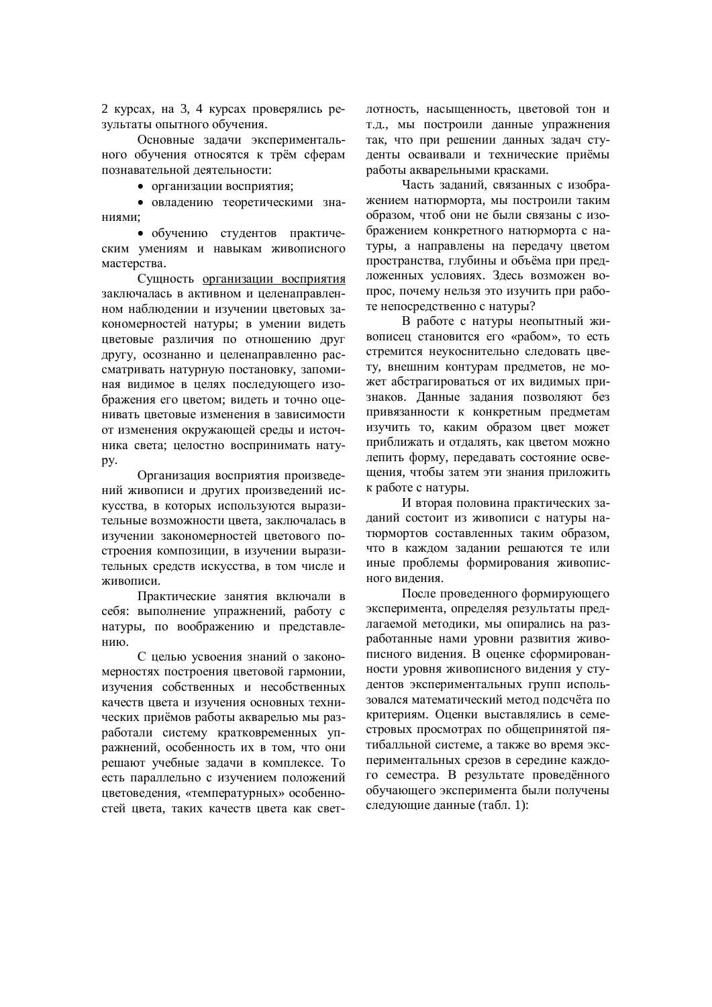2 курсах, на 3, 4 курсах проверялись результаты опытного обучения.

Основные залачи экспериментального обучения относятся к трём сферам познавательной деятельности:

• организации восприятия;

• овладению теоретическими знаниями:

• обучению студентов практическим умениям и навыкам живописного мастерства.

Сущность организации восприятия заключалась в активном и целенаправленном наблюдении и изучении цветовых закономерностей натуры; в умении видеть цветовые различия по отношению друг другу, осознанно и целенаправленно рассматривать натурную постановку, запоминая видимое в целях последующего изображения его цветом: видеть и точно оценивать цветовые изменения в зависимости от изменения окружающей среды и источника света; целостно воспринимать натуpy.

Организация восприятия произведений живописи и других произведений искусства, в которых используются выразительные возможности цвета, заключалась в изучении закономерностей цветового построения композиции, в изучении выразительных средств искусства, в том числе и живописи.

Практические занятия включали в себя: выполнение упражнений, работу с натуры, по воображению и представлению.

С целью усвоения знаний о закономерностях построения цветовой гармонии, изучения собственных и несобственных качеств цвета и изучения основных технических приёмов работы акварелью мы разработали систему кратковременных упражнений, особенность их в том, что они решают учебные задачи в комплексе. То есть параллельно с изучением положений нветовеления, «температурных» особенностей ивета, таких качеств ивета как светлотность, насыщенность, цветовой тон и т.д., мы построили данные упражнения так, что при решении данных задач стуленты осваивали и технические приёмы работы акварельными красками.

Часть заданий, связанных с изображением натюрморта, мы построили таким образом, чтоб они не были связаны с изображением конкретного натюрморта с натуры, а направлены на передачу цветом пространства, глубины и объёма при предложенных условиях. Здесь возможен вопрос, почему нельзя это изучить при работе непосредственно с натуры?

В работе с натуры неопытный живописец становится его «рабом», то есть стремится неукоснительно следовать цвету, внешним контурам предметов, не может абстрагироваться от их видимых признаков. Данные задания позволяют без привязанности к конкретным предметам изучить то, каким образом цвет может приближать и отдалять, как цветом можно лепить форму, передавать состояние освещения, чтобы затем эти знания приложить к работе с натуры.

И вторая половина практических заданий состоит из живописи с натуры натюрмортов составленных таким образом, что в каждом задании решаются те или иные проблемы формирования живописного видения.

После проведенного формирующего эксперимента, определяя результаты предлагаемой методики, мы опирались на разработанные нами уровни развития живописного видения. В оценке сформированности уровня живописного видения у студентов экспериментальных групп использовался математический метод подсчёта по критериям. Оценки выставлялись в семестровых просмотрах по общепринятой пятибалльной системе, а также во время экспериментальных срезов в середине каждого семестра. В результате проведённого обучающего эксперимента были получены следующие данные (табл. 1):